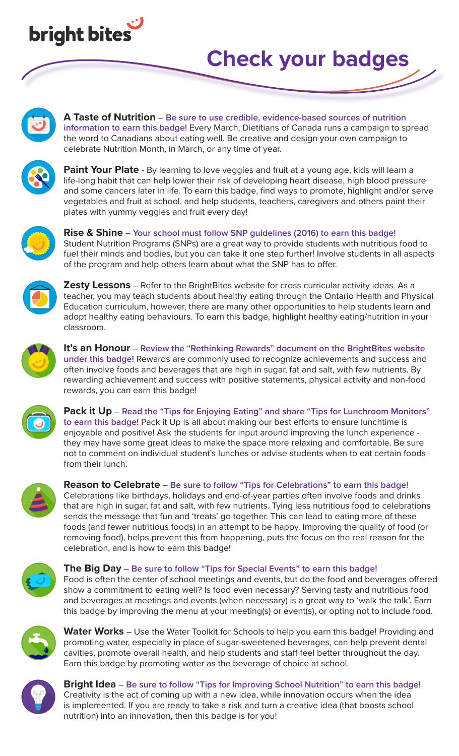

## **Check your badges**



**A Taste of Nutrition** – **Be sure to use credible, evidence-based sources of nutrition information to earn this badge!** Every March, Dietitians of Canada runs a campaign to spread the word to Canadians about eating well. Be creative and design your own campaign to celebrate Nutrition Month, in March, or any time of year.



**Paint Your Plate** - By learning to love veggies and fruit at a young age, kids will learn a life-long habit that can help lower their risk of developing heart disease, high blood pressure and some cancers later in life. To earn this badge, find ways to promote, highlight and/or serve vegetables and fruit at school, and help students, teachers, caregivers and others paint their plates with yummy veggies and fruit every day!



**Rise & Shine** – **Your school must follow SNP guidelines (2016) to earn this badge!** Student Nutrition Programs (SNPs) are a great way to provide students with nutritious food to fuel their minds and bodies, but you can take it one step further! Involve students in all aspects of the program and help others learn about what the SNP has to offer.



**Zesty Lessons** – Refer to the BrightBites website for cross curricular activity ideas. As a teacher, you may teach students about healthy eating through the Ontario Health and Physical Education curriculum, however, there are many other opportunities to help students learn and adopt healthy eating behaviours. To earn this badge, highlight healthy eating/nutrition in your classroom.



**It's an Honour** – **Review the "Rethinking Rewards" document on the BrightBites website under this badge!** Rewards are commonly used to recognize achievements and success and often involve foods and beverages that are high in sugar, fat and salt, with few nutrients. By rewarding achievement and success with positive statements, physical activity and non-food rewards, you can earn this badge!



**Pack it Up** – **Read the "Tips for Enjoying Eating" and share "Tips for Lunchroom Monitors" to earn this badge!** Pack it Up is all about making our best efforts to ensure lunchtime is enjoyable and positive! Ask the students for input around improving the lunch experience they may have some great ideas to make the space more relaxing and comfortable. Be sure not to comment on individual student's lunches or advise students when to eat certain foods from their lunch.



**Reason to Celebrate** – **Be sure to follow "Tips for Celebrations" to earn this badge!**

Celebrations like birthdays, holidays and end-of-year parties often involve foods and drinks that are high in sugar, fat and salt, with few nutrients. Tying less nutritious food to celebrations sends the message that fun and 'treats' go together. This can lead to eating more of these foods (and fewer nutritious foods) in an attempt to be happy. Improving the quality of food (or removing food), helps prevent this from happening, puts the focus on the real reason for the celebration, and is how to earn this badge!



## **The Big Day** – **Be sure to follow "Tips for Special Events" to earn this badge!**

Food is often the center of school meetings and events, but do the food and beverages offered show a commitment to eating well? Is food even necessary? Serving tasty and nutritious food and beverages at meetings and events (when necessary) is a great way to 'walk the talk'. Earn this badge by improving the menu at your meeting(s) or event(s), or opting not to include food.



**Water Works** – Use the Water Toolkit for Schools to help you earn this badge! Providing and promoting water, especially in place of sugar-sweetened beverages, can help prevent dental cavities, promote overall health, and help students and staff feel better throughout the day. Earn this badge by promoting water as the beverage of choice at school.



**Bright Idea** – **Be sure to follow "Tips for Improving School Nutrition" to earn this badge!** Creativity is the act of coming up with a new idea, while innovation occurs when the idea is implemented. If you are ready to take a risk and turn a creative idea (that boosts school nutrition) into an innovation, then this badge is for you!